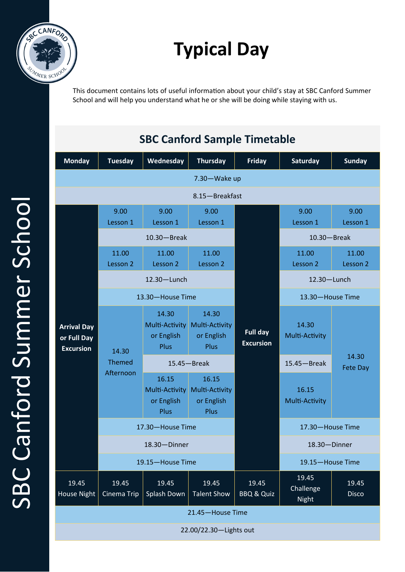

# **Typical Day**

This document contains lots of useful information about your child's stay at SBC Canford Summer School and will help you understand what he or she will be doing while staying with us.

## **SBC Canford Sample Timetable**

| <b>Monday</b>                                         | <b>Tuesday</b>                      | Wednesday                                            | <b>Thursday</b>                                             | <b>Friday</b>                       | Saturday                           | <b>Sunday</b>         |
|-------------------------------------------------------|-------------------------------------|------------------------------------------------------|-------------------------------------------------------------|-------------------------------------|------------------------------------|-----------------------|
| 7.30-Wake up                                          |                                     |                                                      |                                                             |                                     |                                    |                       |
| 8.15-Breakfast                                        |                                     |                                                      |                                                             |                                     |                                    |                       |
| <b>Arrival Day</b><br>or Full Day<br><b>Excursion</b> | 9.00<br>Lesson 1                    | 9.00<br>Lesson 1                                     | 9.00<br>Lesson 1                                            |                                     | 9.00<br>Lesson 1                   | 9.00<br>Lesson 1      |
|                                                       | $10.30 -$ Break                     |                                                      |                                                             |                                     | $10.30 - B$ reak                   |                       |
|                                                       | 11.00<br>Lesson 2                   | 11.00<br>Lesson 2                                    | 11.00<br>Lesson 2                                           |                                     | 11.00<br>Lesson 2                  | 11.00<br>Lesson 2     |
|                                                       | $12.30 -$ Lunch                     |                                                      |                                                             |                                     | 12.30-Lunch                        |                       |
|                                                       | 13.30-House Time                    |                                                      |                                                             |                                     | 13.30-House Time                   |                       |
|                                                       | 14.30<br><b>Themed</b><br>Afternoon | 14.30<br>Multi-Activity<br>or English<br><b>Plus</b> | 14.30<br>Multi-Activity<br>or English<br>Plus               | <b>Full day</b><br><b>Excursion</b> | 14.30<br>Multi-Activity            |                       |
|                                                       |                                     | $15.45 -$ Break                                      |                                                             |                                     | $15.45 -$ Break                    | 14.30<br>Fete Day     |
|                                                       |                                     | 16.15<br>Multi-Activity<br>or English<br>Plus        | 16.15<br><b>Multi-Activity</b><br>or English<br><b>Plus</b> |                                     | 16.15<br>Multi-Activity            |                       |
|                                                       | 17.30-House Time                    |                                                      |                                                             |                                     | 17.30-House Time                   |                       |
|                                                       | 18.30-Dinner                        |                                                      |                                                             |                                     | 18.30-Dinner                       |                       |
|                                                       | 19.15-House Time                    |                                                      |                                                             |                                     | 19.15-House Time                   |                       |
| 19.45<br>House Night                                  | 19.45<br>Cinema Trip                | 19.45<br>Splash Down                                 | 19.45<br><b>Talent Show</b>                                 | 19.45<br><b>BBQ &amp; Quiz</b>      | 19.45<br>Challenge<br><b>Night</b> | 19.45<br><b>Disco</b> |
| 21.45-House Time                                      |                                     |                                                      |                                                             |                                     |                                    |                       |
| 22.00/22.30-Lights out                                |                                     |                                                      |                                                             |                                     |                                    |                       |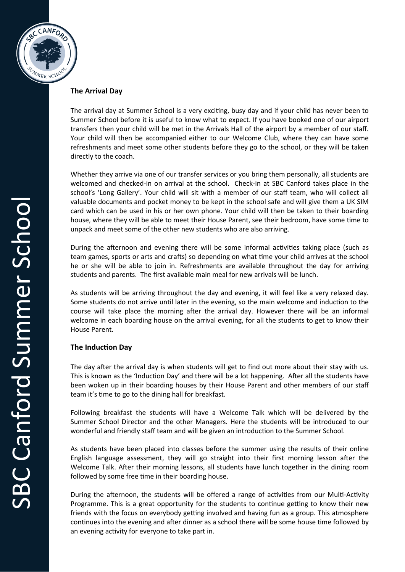

### **The Arrival Day**

The arrival day at Summer School is a very exciting, busy day and if your child has never been to Summer School before it is useful to know what to expect. If you have booked one of our airport transfers then your child will be met in the Arrivals Hall of the airport by a member of our staff. Your child will then be accompanied either to our Welcome Club, where they can have some refreshments and meet some other students before they go to the school, or they will be taken directly to the coach.

Whether they arrive via one of our transfer services or you bring them personally, all students are welcomed and checked-in on arrival at the school. Check-in at SBC Canford takes place in the school's 'Long Gallery'. Your child will sit with a member of our staff team, who will collect all valuable documents and pocket money to be kept in the school safe and will give them a UK SIM card which can be used in his or her own phone. Your child will then be taken to their boarding house, where they will be able to meet their House Parent, see their bedroom, have some time to unpack and meet some of the other new students who are also arriving.

During the afternoon and evening there will be some informal activities taking place (such as team games, sports or arts and crafts) so depending on what time your child arrives at the school he or she will be able to join in. Refreshments are available throughout the day for arriving students and parents. The first available main meal for new arrivals will be lunch.

As students will be arriving throughout the day and evening, it will feel like a very relaxed day. Some students do not arrive until later in the evening, so the main welcome and induction to the course will take place the morning after the arrival day. However there will be an informal welcome in each boarding house on the arrival evening, for all the students to get to know their House Parent.

#### **The Induction Day**

The day after the arrival day is when students will get to find out more about their stay with us. This is known as the 'Induction Day' and there will be a lot happening. After all the students have been woken up in their boarding houses by their House Parent and other members of our staff team it's time to go to the dining hall for breakfast.

Following breakfast the students will have a Welcome Talk which will be delivered by the Summer School Director and the other Managers. Here the students will be introduced to our wonderful and friendly staff team and will be given an introduction to the Summer School.

As students have been placed into classes before the summer using the results of their online English language assessment, they will go straight into their first morning lesson after the Welcome Talk. After their morning lessons, all students have lunch together in the dining room followed by some free time in their boarding house.

During the afternoon, the students will be offered a range of activities from our Multi-Activity Programme. This is a great opportunity for the students to continue getting to know their new friends with the focus on everybody getting involved and having fun as a group. This atmosphere continues into the evening and after dinner as a school there will be some house time followed by an evening activity for everyone to take part in.